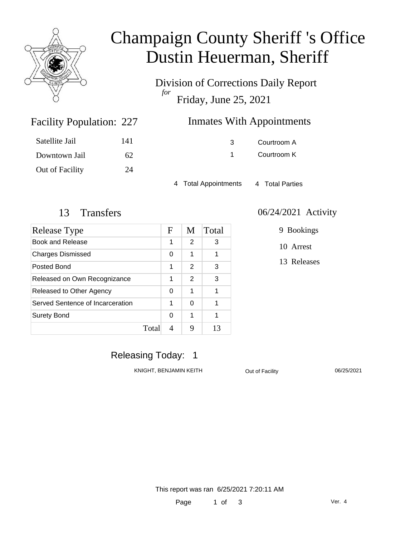

# Champaign County Sheriff 's Office Dustin Heuerman, Sheriff

Division of Corrections Daily Report *for* Friday, June 25, 2021

| <b>Inmates With Appointments</b> |               |             |  |  |
|----------------------------------|---------------|-------------|--|--|
|                                  | $\mathcal{R}$ | Courtroom A |  |  |
|                                  |               | Courtroom K |  |  |
|                                  |               |             |  |  |

4 Total Appointments 4 Total Parties

Facility Population: 227

Satellite Jail 141

Downtown Jail 62

Out of Facility 24

| Release Type                     |       | F | M | Total |
|----------------------------------|-------|---|---|-------|
| Book and Release                 |       | 1 | 2 | 3     |
| <b>Charges Dismissed</b>         |       | 0 | 1 |       |
| Posted Bond                      |       | 1 | 2 | 3     |
| Released on Own Recognizance     |       | 1 | 2 | 3     |
| Released to Other Agency         |       | 0 | 1 |       |
| Served Sentence of Incarceration |       | 1 | 0 |       |
| <b>Surety Bond</b>               |       | 0 | 1 |       |
|                                  | Total |   | g | 13    |

#### 13 Transfers 06/24/2021 Activity

9 Bookings

10 Arrest

13 Releases

### Releasing Today: 1

KNIGHT, BENJAMIN KEITH **Out of Facility** 06/25/2021

This report was ran 6/25/2021 7:20:11 AM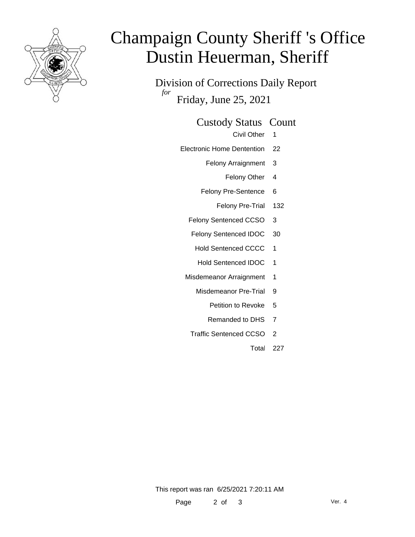

# Champaign County Sheriff 's Office Dustin Heuerman, Sheriff

Division of Corrections Daily Report *for* Friday, June 25, 2021

#### Custody Status Count

- Civil Other 1
- Electronic Home Dentention 22
	- Felony Arraignment 3
		- Felony Other 4
	- Felony Pre-Sentence 6
		- Felony Pre-Trial 132
	- Felony Sentenced CCSO 3
	- Felony Sentenced IDOC 30
		- Hold Sentenced CCCC 1
		- Hold Sentenced IDOC 1
	- Misdemeanor Arraignment 1
		- Misdemeanor Pre-Trial 9
			- Petition to Revoke 5
			- Remanded to DHS 7
		- Traffic Sentenced CCSO 2
			- Total 227

This report was ran 6/25/2021 7:20:11 AM